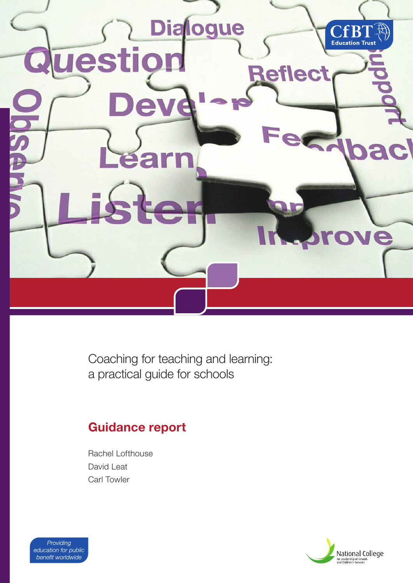

Coaching for teaching and learning: a practical guide for schools

# **Guidance report**

Rachel Lofthouse David Leat Carl Towler



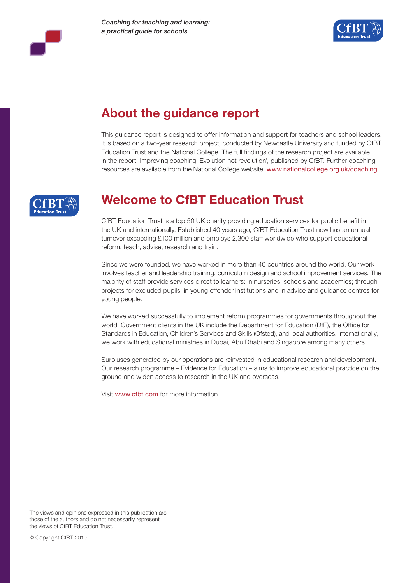



# **About the guidance report**

This guidance report is designed to offer information and support for teachers and school leaders. It is based on a two-year research project, conducted by Newcastle University and funded by CfBT Education Trust and the National College. The full findings of the research project are available in the report 'Improving coaching: Evolution not revolution', published by CfBT. Further coaching resources are available from the National College website: www.nationalcollege.org.uk/coaching.



# **Welcome to CfBT Education Trust**

CfBT Education Trust is a top 50 UK charity providing education services for public benefit in the UK and internationally. Established 40 years ago, CfBT Education Trust now has an annual turnover exceeding £100 million and employs 2,300 staff worldwide who support educational reform, teach, advise, research and train.

Since we were founded, we have worked in more than 40 countries around the world. Our work involves teacher and leadership training, curriculum design and school improvement services. The majority of staff provide services direct to learners: in nurseries, schools and academies; through projects for excluded pupils; in young offender institutions and in advice and guidance centres for young people.

We have worked successfully to implement reform programmes for governments throughout the world. Government clients in the UK include the Department for Education (DfE), the Office for Standards in Education, Children's Services and Skills (Ofsted), and local authorities. Internationally, we work with educational ministries in Dubai, Abu Dhabi and Singapore among many others.

Surpluses generated by our operations are reinvested in educational research and development. Our research programme – Evidence for Education – aims to improve educational practice on the ground and widen access to research in the UK and overseas.

Visit www.cfbt.com for more information.

The views and opinions expressed in this publication are those of the authors and do not necessarily represent the views of CfBT Education Trust.

© Copyright CfBT 2010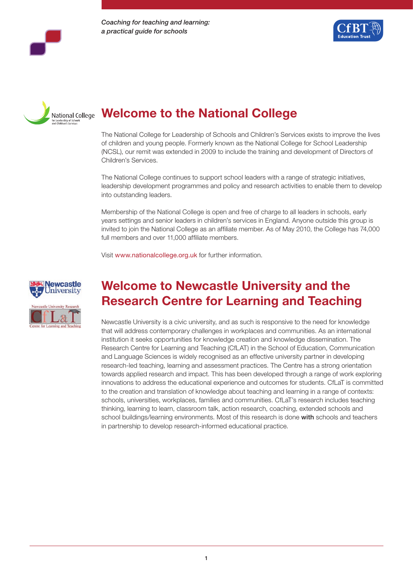





# **Welcome to the National College**

The National College for Leadership of Schools and Children's Services exists to improve the lives of children and young people. Formerly known as the National College for School Leadership (NCSL), our remit was extended in 2009 to include the training and development of Directors of Children's Services.

The National College continues to support school leaders with a range of strategic initiatives, leadership development programmes and policy and research activities to enable them to develop into outstanding leaders.

Membership of the National College is open and free of charge to all leaders in schools, early years settings and senior leaders in children's services in England. Anyone outside this group is invited to join the National College as an affiliate member. As of May 2010, the College has 74,000 full members and over 11,000 affiliate members.

Visit www.nationalcollege.org.uk for further information.



# **Welcome to Newcastle University and the Research Centre for Learning and Teaching**

Newcastle University is a civic university, and as such is responsive to the need for knowledge that will address contemporary challenges in workplaces and communities. As an international institution it seeks opportunities for knowledge creation and knowledge dissemination. The Research Centre for Learning and Teaching (CfLAT) in the School of Education, Communication and Language Sciences is widely recognised as an effective university partner in developing research-led teaching, learning and assessment practices. The Centre has a strong orientation towards applied research and impact. This has been developed through a range of work exploring innovations to address the educational experience and outcomes for students. CfLaT is committed to the creation and translation of knowledge about teaching and learning in a range of contexts: schools, universities, workplaces, families and communities. CfLaT's research includes teaching thinking, learning to learn, classroom talk, action research, coaching, extended schools and school buildings/learning environments. Most of this research is done with schools and teachers in partnership to develop research-informed educational practice.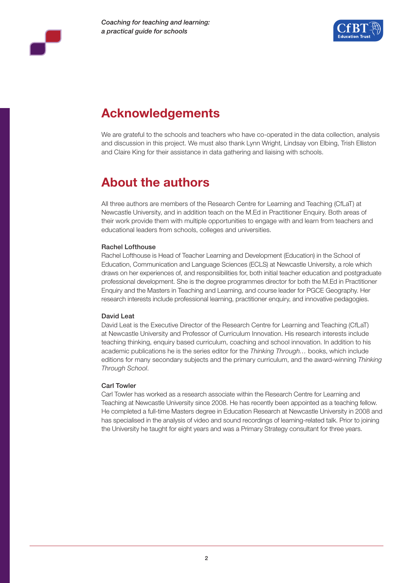



# **Acknowledgements**

We are grateful to the schools and teachers who have co-operated in the data collection, analysis and discussion in this project. We must also thank Lynn Wright, Lindsay von Elbing, Trish Elliston and Claire King for their assistance in data gathering and liaising with schools.

# **About the authors**

All three authors are members of the Research Centre for Learning and Teaching (CfLaT) at Newcastle University, and in addition teach on the M.Ed in Practitioner Enquiry. Both areas of their work provide them with multiple opportunities to engage with and learn from teachers and educational leaders from schools, colleges and universities.

#### Rachel Lofthouse

Rachel Lofthouse is Head of Teacher Learning and Development (Education) in the School of Education, Communication and Language Sciences (ECLS) at Newcastle University, a role which draws on her experiences of, and responsibilities for, both initial teacher education and postgraduate professional development. She is the degree programmes director for both the M.Ed in Practitioner Enquiry and the Masters in Teaching and Learning, and course leader for PGCE Geography. Her research interests include professional learning, practitioner enquiry, and innovative pedagogies.

#### David Leat

David Leat is the Executive Director of the Research Centre for Learning and Teaching (CfLaT) at Newcastle University and Professor of Curriculum Innovation. His research interests include teaching thinking, enquiry based curriculum, coaching and school innovation. In addition to his academic publications he is the series editor for the *Thinking Through…* books, which include editions for many secondary subjects and the primary curriculum, and the award-winning *Thinking Through School*.

#### Carl Towler

Carl Towler has worked as a research associate within the Research Centre for Learning and Teaching at Newcastle University since 2008. He has recently been appointed as a teaching fellow. He completed a full-time Masters degree in Education Research at Newcastle University in 2008 and has specialised in the analysis of video and sound recordings of learning-related talk. Prior to joining the University he taught for eight years and was a Primary Strategy consultant for three years.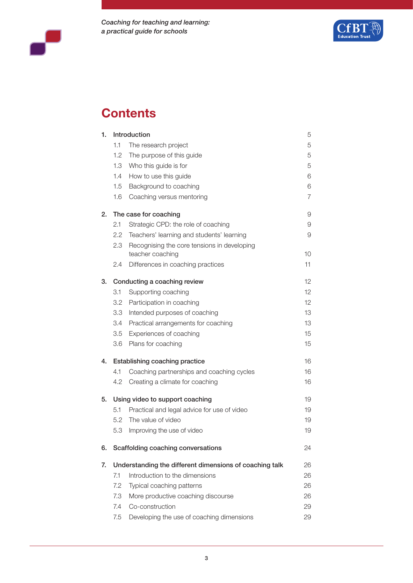



# **Contents**

| 1. |                                                         | <b>Introduction</b>                         | 5              |  |
|----|---------------------------------------------------------|---------------------------------------------|----------------|--|
|    | 1.1                                                     | The research project                        | 5              |  |
|    | 1.2                                                     | The purpose of this guide                   | 5              |  |
|    | 1.3                                                     | Who this guide is for                       | 5              |  |
|    | 1.4                                                     | How to use this guide                       | 6              |  |
|    | 1.5                                                     | Background to coaching                      | 6              |  |
|    | 1.6                                                     | Coaching versus mentoring                   | $\overline{7}$ |  |
| 2. |                                                         | The case for coaching                       | 9              |  |
|    | 2.1                                                     | Strategic CPD: the role of coaching         | 9              |  |
|    | 2.2                                                     | Teachers' learning and students' learning   | 9              |  |
|    | 2.3                                                     | Recognising the core tensions in developing |                |  |
|    |                                                         | teacher coaching                            | 10             |  |
|    | 2.4                                                     | Differences in coaching practices           | 11             |  |
| 3. |                                                         | Conducting a coaching review                | 12             |  |
|    | 3.1                                                     | Supporting coaching                         | 12             |  |
|    | 3.2                                                     | Participation in coaching                   | 12             |  |
|    | 3.3                                                     | Intended purposes of coaching               | 13             |  |
|    | 3.4                                                     | Practical arrangements for coaching         | 13             |  |
|    | 3.5                                                     | Experiences of coaching                     | 15             |  |
|    | 3.6                                                     | Plans for coaching                          | 15             |  |
| 4. |                                                         | Establishing coaching practice              | 16             |  |
|    | 4.1                                                     | Coaching partnerships and coaching cycles   | 16             |  |
|    | 4.2                                                     | Creating a climate for coaching             | 16             |  |
| 5. |                                                         | Using video to support coaching             | 19             |  |
|    | 5.1                                                     | Practical and legal advice for use of video | 19             |  |
|    | 5.2                                                     | The value of video                          | 19             |  |
|    | 5.3                                                     | Improving the use of video                  | 19             |  |
| 6. |                                                         | Scaffolding coaching conversations          | 24             |  |
| 7. | Understanding the different dimensions of coaching talk |                                             |                |  |
|    | 7.1                                                     | Introduction to the dimensions              | 26             |  |
|    | 7.2                                                     | Typical coaching patterns                   | 26             |  |
|    | 7.3                                                     | More productive coaching discourse          | 26             |  |
|    | 7.4                                                     | Co-construction                             | 29             |  |
|    | 7.5                                                     | Developing the use of coaching dimensions   | 29             |  |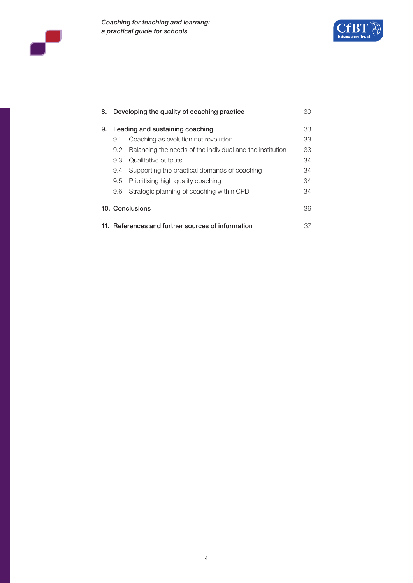





| 8.                                                      | Developing the quality of coaching practice<br>30 |                                                           |    |  |
|---------------------------------------------------------|---------------------------------------------------|-----------------------------------------------------------|----|--|
| 9.                                                      | Leading and sustaining coaching                   |                                                           |    |  |
|                                                         | 9.1                                               | Coaching as evolution not revolution                      | 33 |  |
|                                                         | 9.2                                               | Balancing the needs of the individual and the institution | 33 |  |
|                                                         | 9.3                                               | Qualitative outputs                                       | 34 |  |
|                                                         | 9.4                                               | Supporting the practical demands of coaching              | 34 |  |
|                                                         | 9.5                                               | Prioritising high quality coaching                        | 34 |  |
|                                                         | 9.6                                               | Strategic planning of coaching within CPD                 | 34 |  |
|                                                         |                                                   | 10. Conclusions                                           | 36 |  |
| 11. References and further sources of information<br>37 |                                                   |                                                           |    |  |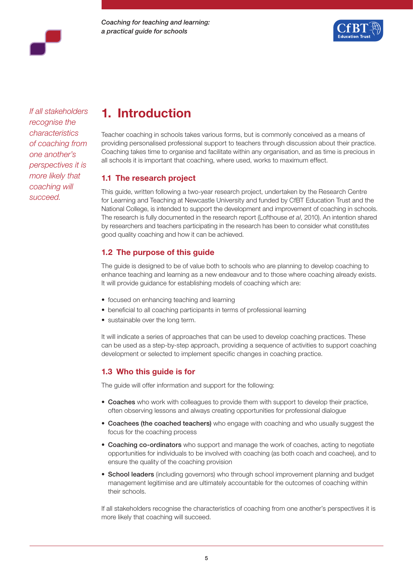



*If all stakeholders recognise the characteristics of coaching from one another's perspectives it is more likely that coaching will succeed.*

# **1. Introduction**

Teacher coaching in schools takes various forms, but is commonly conceived as a means of providing personalised professional support to teachers through discussion about their practice. Coaching takes time to organise and facilitate within any organisation, and as time is precious in all schools it is important that coaching, where used, works to maximum effect.

# **1.1 The research project**

This guide, written following a two-year research project, undertaken by the Research Centre for Learning and Teaching at Newcastle University and funded by CfBT Education Trust and the National College, is intended to support the development and improvement of coaching in schools. The research is fully documented in the research report (Lofthouse *et al*, 2010). An intention shared by researchers and teachers participating in the research has been to consider what constitutes good quality coaching and how it can be achieved.

# **1.2 The purpose of this guide**

The guide is designed to be of value both to schools who are planning to develop coaching to enhance teaching and learning as a new endeavour and to those where coaching already exists. It will provide guidance for establishing models of coaching which are:

- focused on enhancing teaching and learning
- beneficial to all coaching participants in terms of professional learning
- sustainable over the long term.

It will indicate a series of approaches that can be used to develop coaching practices. These can be used as a step-by-step approach, providing a sequence of activities to support coaching development or selected to implement specific changes in coaching practice.

# **1.3 Who this guide is for**

The guide will offer information and support for the following:

- Coaches who work with colleagues to provide them with support to develop their practice, often observing lessons and always creating opportunities for professional dialogue
- Coachees (the coached teachers) who engage with coaching and who usually suggest the focus for the coaching process
- Coaching co-ordinators who support and manage the work of coaches, acting to negotiate opportunities for individuals to be involved with coaching (as both coach and coachee), and to ensure the quality of the coaching provision
- School leaders (including governors) who through school improvement planning and budget management legitimise and are ultimately accountable for the outcomes of coaching within their schools.

If all stakeholders recognise the characteristics of coaching from one another's perspectives it is more likely that coaching will succeed.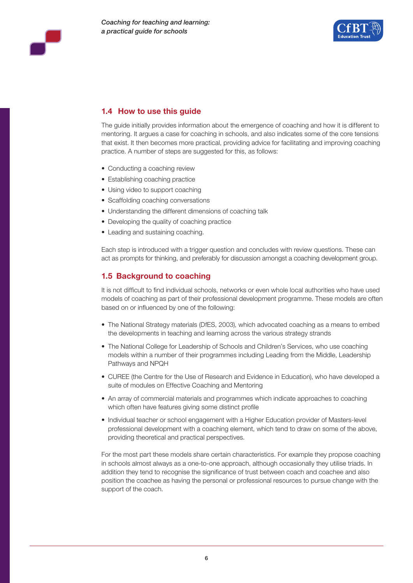



## **1.4 How to use this guide**

The guide initially provides information about the emergence of coaching and how it is different to mentoring. It argues a case for coaching in schools, and also indicates some of the core tensions that exist. It then becomes more practical, providing advice for facilitating and improving coaching practice. A number of steps are suggested for this, as follows:

- Conducting a coaching review
- Establishing coaching practice
- Using video to support coaching
- Scaffolding coaching conversations
- Understanding the different dimensions of coaching talk
- Developing the quality of coaching practice
- Leading and sustaining coaching.

Each step is introduced with a trigger question and concludes with review questions. These can act as prompts for thinking, and preferably for discussion amongst a coaching development group.

### **1.5 Background to coaching**

It is not difficult to find individual schools, networks or even whole local authorities who have used models of coaching as part of their professional development programme. These models are often based on or influenced by one of the following:

- The National Strategy materials (DfES, 2003), which advocated coaching as a means to embed the developments in teaching and learning across the various strategy strands
- The National College for Leadership of Schools and Children's Services, who use coaching models within a number of their programmes including Leading from the Middle, Leadership Pathways and NPQH
- CUREE (the Centre for the Use of Research and Evidence in Education), who have developed a suite of modules on Effective Coaching and Mentoring
- An array of commercial materials and programmes which indicate approaches to coaching which often have features giving some distinct profile
- Individual teacher or school engagement with a Higher Education provider of Masters-level professional development with a coaching element, which tend to draw on some of the above, providing theoretical and practical perspectives.

For the most part these models share certain characteristics. For example they propose coaching in schools almost always as a one-to-one approach, although occasionally they utilise triads. In addition they tend to recognise the significance of trust between coach and coachee and also position the coachee as having the personal or professional resources to pursue change with the support of the coach.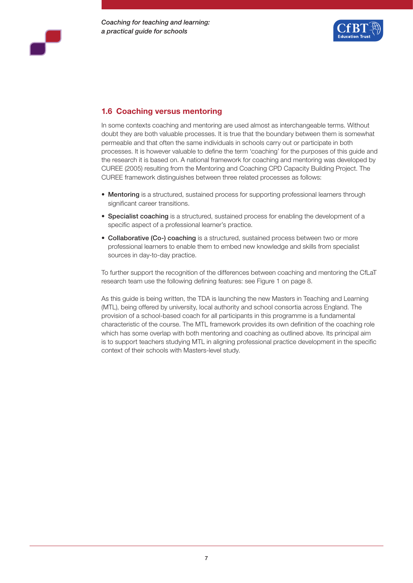



# **1.6 Coaching versus mentoring**

In some contexts coaching and mentoring are used almost as interchangeable terms. Without doubt they are both valuable processes. It is true that the boundary between them is somewhat permeable and that often the same individuals in schools carry out or participate in both processes. It is however valuable to define the term 'coaching' for the purposes of this guide and the research it is based on. A national framework for coaching and mentoring was developed by CUREE (2005) resulting from the Mentoring and Coaching CPD Capacity Building Project. The CUREE framework distinguishes between three related processes as follows:

- Mentoring is a structured, sustained process for supporting professional learners through significant career transitions.
- Specialist coaching is a structured, sustained process for enabling the development of a specific aspect of a professional learner's practice.
- Collaborative (Co-) coaching is a structured, sustained process between two or more professional learners to enable them to embed new knowledge and skills from specialist sources in day-to-day practice.

To further support the recognition of the differences between coaching and mentoring the CfLaT research team use the following defining features: see Figure 1 on page 8.

As this guide is being written, the TDA is launching the new Masters in Teaching and Learning (MTL), being offered by university, local authority and school consortia across England. The provision of a school-based coach for all participants in this programme is a fundamental characteristic of the course. The MTL framework provides its own definition of the coaching role which has some overlap with both mentoring and coaching as outlined above. Its principal aim is to support teachers studying MTL in aligning professional practice development in the specific context of their schools with Masters-level study.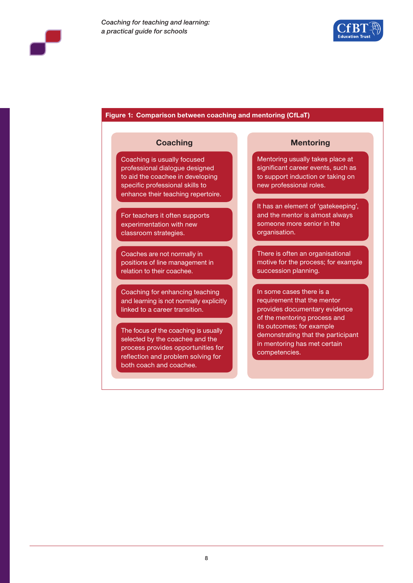

#### **Figure 1: Comparison between coaching and mentoring (CfLaT)**

Coaching is usually focused professional dialogue designed to aid the coachee in developing specific professional skills to enhance their teaching repertoire.

For teachers it often supports experimentation with new classroom strategies.

Coaches are not normally in positions of line management in relation to their coachee.

Coaching for enhancing teaching and learning is not normally explicitly linked to a career transition.

The focus of the coaching is usually selected by the coachee and the process provides opportunities for reflection and problem solving for both coach and coachee.

### **Coaching Mentoring**

Mentoring usually takes place at significant career events, such as to support induction or taking on new professional roles.

It has an element of 'gatekeeping', and the mentor is almost always someone more senior in the organisation.

There is often an organisational motive for the process; for example succession planning.

In some cases there is a requirement that the mentor provides documentary evidence of the mentoring process and its outcomes; for example demonstrating that the participant in mentoring has met certain competencies.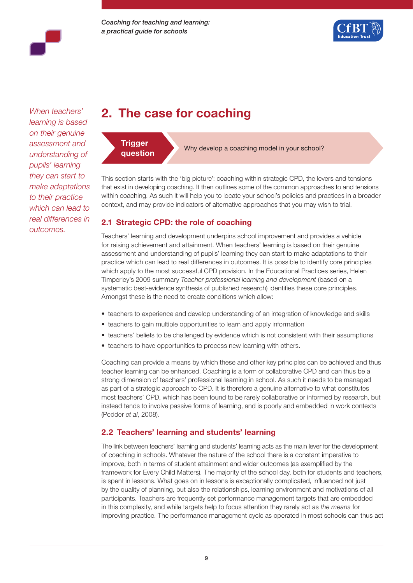

*When teachers' learning is based on their genuine assessment and understanding of pupils' learning they can start to make adaptations to their practice which can lead to real differences in outcomes.* 

# **2. The case for coaching**



**question** Why develop a coaching model in your school?

This section starts with the 'big picture': coaching within strategic CPD, the levers and tensions that exist in developing coaching. It then outlines some of the common approaches to and tensions within coaching. As such it will help you to locate your school's policies and practices in a broader context, and may provide indicators of alternative approaches that you may wish to trial.

## **2.1 Strategic CPD: the role of coaching**

Teachers' learning and development underpins school improvement and provides a vehicle for raising achievement and attainment. When teachers' learning is based on their genuine assessment and understanding of pupils' learning they can start to make adaptations to their practice which can lead to real differences in outcomes. It is possible to identify core principles which apply to the most successful CPD provision. In the Educational Practices series, Helen Timperley's 2009 summary *Teacher professional learning and development* (based on a systematic best-evidence synthesis of published research) identifies these core principles. Amongst these is the need to create conditions which allow:

- teachers to experience and develop understanding of an integration of knowledge and skills
- teachers to gain multiple opportunities to learn and apply information
- teachers' beliefs to be challenged by evidence which is not consistent with their assumptions
- teachers to have opportunities to process new learning with others.

Coaching can provide a means by which these and other key principles can be achieved and thus teacher learning can be enhanced. Coaching is a form of collaborative CPD and can thus be a strong dimension of teachers' professional learning in school. As such it needs to be managed as part of a strategic approach to CPD. It is therefore a genuine alternative to what constitutes most teachers' CPD, which has been found to be rarely collaborative or informed by research, but instead tends to involve passive forms of learning, and is poorly and embedded in work contexts (Pedder *et al*, 2008).

## **2.2 Teachers' learning and students' learning**

The link between teachers' learning and students' learning acts as the main lever for the development of coaching in schools. Whatever the nature of the school there is a constant imperative to improve, both in terms of student attainment and wider outcomes (as exemplified by the framework for Every Child Matters). The majority of the school day, both for students and teachers, is spent in lessons. What goes on in lessons is exceptionally complicated, influenced not just by the quality of planning, but also the relationships, learning environment and motivations of all participants. Teachers are frequently set performance management targets that are embedded in this complexity, and while targets help to focus attention they rarely act as *the means* for improving practice. The performance management cycle as operated in most schools can thus act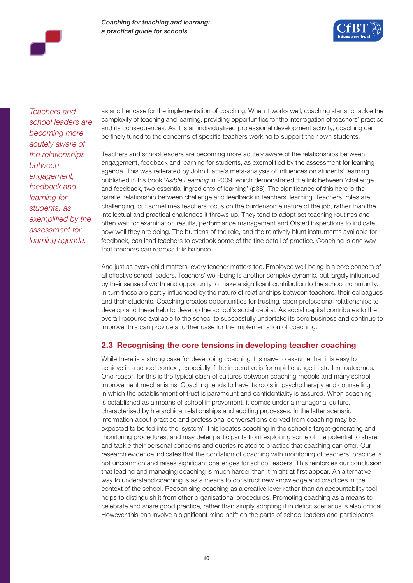

*Teachers and school leaders are becoming more acutely aware of the relationships between engagement, feedback and learning for students, as exemplified by the assessment for learning agenda.*

as another case for the implementation of coaching. When it works well, coaching starts to tackle the complexity of teaching and learning, providing opportunities for the interrogation of teachers' practice and its consequences. As it is an individualised professional development activity, coaching can be finely tuned to the concerns of specific teachers working to support their own students.

Teachers and school leaders are becoming more acutely aware of the relationships between engagement, feedback and learning for students, as exemplified by the assessment for learning agenda. This was reiterated by John Hattie's meta-analysis of influences on students' learning, published in his book *Visible Learning* in 2009, which demonstrated the link between 'challenge and feedback, two essential ingredients of learning' (p38). The significance of this here is the parallel relationship between challenge and feedback in teachers' learning. Teachers' roles are challenging, but sometimes teachers focus on the burdensome nature of the job, rather than the intellectual and practical challenges it throws up. They tend to adopt set teaching routines and often wait for examination results, performance management and Ofsted inspections to indicate how well they are doing. The burdens of the role, and the relatively blunt instruments available for feedback, can lead teachers to overlook some of the fine detail of practice. Coaching is one way that teachers can redress this balance.

And just as every child matters, every teacher matters too. Employee well-being is a core concern of all effective school leaders. Teachers' well-being is another complex dynamic, but largely influenced by their sense of worth and opportunity to make a significant contribution to the school community. In turn these are partly influenced by the nature of relationships between teachers, their colleagues and their students. Coaching creates opportunities for trusting, open professional relationships to develop and these help to develop the school's social capital. As social capital contributes to the overall resource available to the school to successfully undertake its core business and continue to improve, this can provide a further case for the implementation of coaching.

## **2.3 Recognising the core tensions in developing teacher coaching**

While there is a strong case for developing coaching it is naïve to assume that it is easy to achieve in a school context, especially if the imperative is for rapid change in student outcomes. One reason for this is the typical clash of cultures between coaching models and many school improvement mechanisms. Coaching tends to have its roots in psychotherapy and counselling in which the establishment of trust is paramount and confidentiality is assured. When coaching is established as a means of school improvement, it comes under a managerial culture, characterised by hierarchical relationships and auditing processes. In the latter scenario information about practice and professional conversations derived from coaching may be expected to be fed into the 'system'. This locates coaching in the school's target-generating and monitoring procedures, and may deter participants from exploiting some of the potential to share and tackle their personal concerns and queries related to practice that coaching can offer. Our research evidence indicates that the conflation of coaching with monitoring of teachers' practice is not uncommon and raises significant challenges for school leaders. This reinforces our conclusion that leading and managing coaching is much harder than it might at first appear. An alternative way to understand coaching is as a means to construct new knowledge and practices in the context of the school. Recognising coaching as a creative lever rather than an accountability tool helps to distinguish it from other organisational procedures. Promoting coaching as a means to celebrate and share good practice, rather than simply adopting it in deficit scenarios is also critical. However this can involve a significant mind-shift on the parts of school leaders and participants.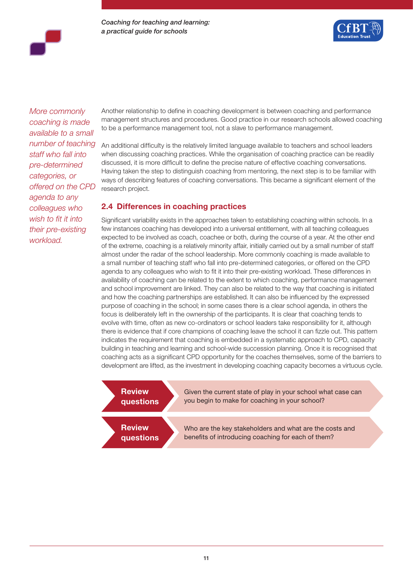

*More commonly coaching is made available to a small number of teaching staff who fall into pre-determined categories, or offered on the CPD agenda to any colleagues who wish to fit it into their pre-existing workload.* 

Another relationship to define in coaching development is between coaching and performance management structures and procedures. Good practice in our research schools allowed coaching to be a performance management tool, not a slave to performance management.

An additional difficulty is the relatively limited language available to teachers and school leaders when discussing coaching practices. While the organisation of coaching practice can be readily discussed, it is more difficult to define the precise nature of effective coaching conversations. Having taken the step to distinguish coaching from mentoring, the next step is to be familiar with ways of describing features of coaching conversations. This became a significant element of the research project.

### **2.4 Differences in coaching practices**

Significant variability exists in the approaches taken to establishing coaching within schools. In a few instances coaching has developed into a universal entitlement, with all teaching colleagues expected to be involved as coach, coachee or both, during the course of a year. At the other end of the extreme, coaching is a relatively minority affair, initially carried out by a small number of staff almost under the radar of the school leadership. More commonly coaching is made available to a small number of teaching staff who fall into pre-determined categories, or offered on the CPD agenda to any colleagues who wish to fit it into their pre-existing workload. These differences in availability of coaching can be related to the extent to which coaching, performance management and school improvement are linked. They can also be related to the way that coaching is initiated and how the coaching partnerships are established. It can also be influenced by the expressed purpose of coaching in the school; in some cases there is a clear school agenda, in others the focus is deliberately left in the ownership of the participants. It is clear that coaching tends to evolve with time, often as new co-ordinators or school leaders take responsibility for it, although there is evidence that if core champions of coaching leave the school it can fizzle out. This pattern indicates the requirement that coaching is embedded in a systematic approach to CPD, capacity building in teaching and learning and school-wide succession planning. Once it is recognised that coaching acts as a significant CPD opportunity for the coaches themselves, some of the barriers to development are lifted, as the investment in developing coaching capacity becomes a virtuous cycle.

| <b>Review</b><br>questions | Given the current state of play in your school what case can<br>you begin to make for coaching in your school? |  |
|----------------------------|----------------------------------------------------------------------------------------------------------------|--|
| <b>Review</b><br>questions | Who are the key stakeholders and what are the costs and<br>benefits of introducing coaching for each of them?  |  |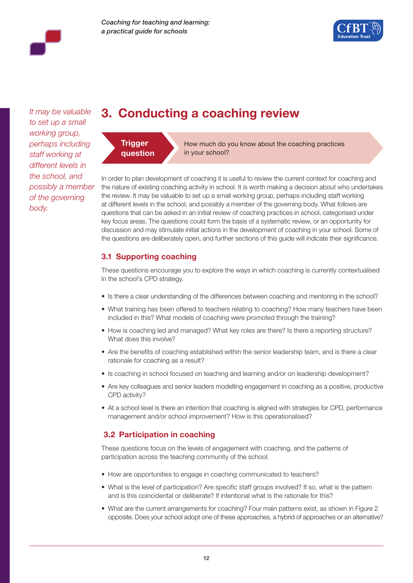

*It may be valuable to set up a small working group, perhaps including staff working at different levels in the school, and possibly a member of the governing body.* 

# **3. Conducting a coaching review**



How much do you know about the coaching practices in your school?

In order to plan development of coaching it is useful to review the current context for coaching and the nature of existing coaching activity in school. It is worth making a decision about who undertakes the review. It may be valuable to set up a small working group, perhaps including staff working at different levels in the school, and possibly a member of the governing body. What follows are questions that can be asked in an initial review of coaching practices in school, categorised under key focus areas. The questions could form the basis of a systematic review, or an opportunity for discussion and may stimulate initial actions in the development of coaching in your school. Some of the questions are deliberately open, and further sections of this guide will indicate their significance.

# **3.1 Supporting coaching**

These questions encourage you to explore the ways in which coaching is currently contextualised in the school's CPD strategy.

- Is there a clear understanding of the differences between coaching and mentoring in the school?
- What training has been offered to teachers relating to coaching? How many teachers have been included in this? What models of coaching were promoted through the training?
- How is coaching led and managed? What key roles are there? Is there a reporting structure? What does this involve?
- Are the benefits of coaching established within the senior leadership team, and is there a clear rationale for coaching as a result?
- Is coaching in school focused on teaching and learning and/or on leadership development?
- Are key colleagues and senior leaders modelling engagement in coaching as a positive, productive CPD activity?
- At a school level is there an intention that coaching is aligned with strategies for CPD, performance management and/or school improvement? How is this operationalised?

# **3.2 Participation in coaching**

These questions focus on the levels of engagement with coaching, and the patterns of participation across the teaching community of the school.

- How are opportunities to engage in coaching communicated to teachers?
- What is the level of participation? Are specific staff groups involved? If so, what is the pattern and is this coincidental or deliberate? If intentional what is the rationale for this?
- What are the current arrangements for coaching? Four main patterns exist, as shown in Figure 2 opposite. Does your school adopt one of these approaches, a hybrid of approaches or an alternative?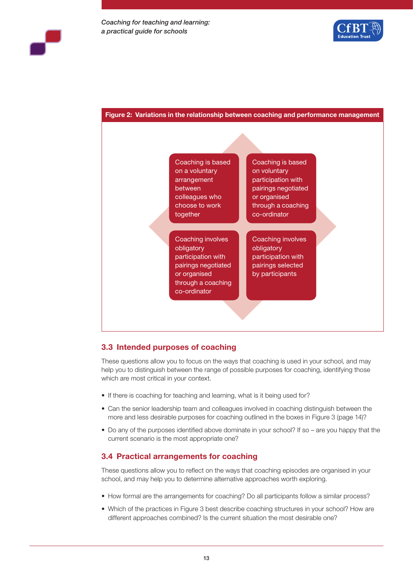



## **3.3 Intended purposes of coaching**

These questions allow you to focus on the ways that coaching is used in your school, and may help you to distinguish between the range of possible purposes for coaching, identifying those which are most critical in your context.

- If there is coaching for teaching and learning, what is it being used for?
- Can the senior leadership team and colleagues involved in coaching distinguish between the more and less desirable purposes for coaching outlined in the boxes in Figure 3 (page 14)?
- Do any of the purposes identified above dominate in your school? If so are you happy that the current scenario is the most appropriate one?

### **3.4 Practical arrangements for coaching**

These questions allow you to reflect on the ways that coaching episodes are organised in your school, and may help you to determine alternative approaches worth exploring.

- How formal are the arrangements for coaching? Do all participants follow a similar process?
- Which of the practices in Figure 3 best describe coaching structures in your school? How are different approaches combined? Is the current situation the most desirable one?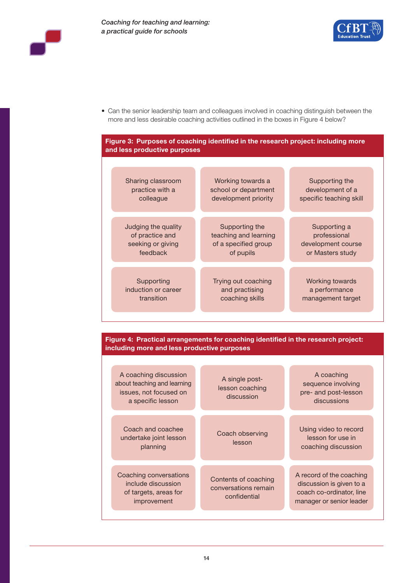



• Can the senior leadership team and colleagues involved in coaching distinguish between the more and less desirable coaching activities outlined in the boxes in Figure 4 below?

### **Figure 3: Purposes of coaching identified in the research project: including more and less productive purposes**

| Sharing classroom   | Working towards a     | Supporting the          |
|---------------------|-----------------------|-------------------------|
| practice with a     | school or department  | development of a        |
| colleague           | development priority  | specific teaching skill |
| Judging the quality | Supporting the        | Supporting a            |
| of practice and     | teaching and learning | professional            |
| seeking or giving   | of a specified group  | development course      |
| feedback            | of pupils             | or Masters study        |
| Supporting          | Trying out coaching   | <b>Working towards</b>  |
| induction or career | and practising        | a performance           |
| transition          | coaching skills       | management target       |

### **Figure 4: Practical arrangements for coaching identified in the research project: including more and less productive purposes**

| A coaching discussion<br>about teaching and learning<br>issues, not focused on<br>a specific lesson | A single post-<br>lesson coaching<br>discussion              | A coaching<br>sequence involving<br>pre- and post-lesson<br>discussions                                      |
|-----------------------------------------------------------------------------------------------------|--------------------------------------------------------------|--------------------------------------------------------------------------------------------------------------|
| Coach and coachee<br>undertake joint lesson<br>planning                                             | Coach observing<br>lesson                                    | Using video to record<br>lesson for use in<br>coaching discussion                                            |
| Coaching conversations<br>include discussion<br>of targets, areas for<br>improvement                | Contents of coaching<br>conversations remain<br>confidential | A record of the coaching<br>discussion is given to a<br>coach co-ordinator, line<br>manager or senior leader |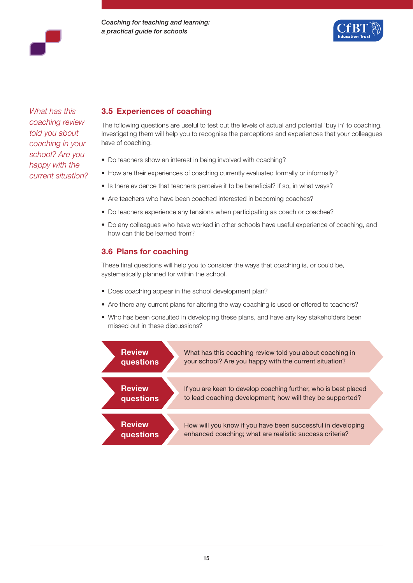



*What has this coaching review told you about coaching in your school? Are you happy with the current situation?*

## **3.5 Experiences of coaching**

The following questions are useful to test out the levels of actual and potential 'buy in' to coaching. Investigating them will help you to recognise the perceptions and experiences that your colleagues have of coaching.

- Do teachers show an interest in being involved with coaching?
- How are their experiences of coaching currently evaluated formally or informally?
- Is there evidence that teachers perceive it to be beneficial? If so, in what ways?
- Are teachers who have been coached interested in becoming coaches?
- Do teachers experience any tensions when participating as coach or coachee?
- Do any colleagues who have worked in other schools have useful experience of coaching, and how can this be learned from?

### **3.6 Plans for coaching**

These final questions will help you to consider the ways that coaching is, or could be, systematically planned for within the school.

- Does coaching appear in the school development plan?
- Are there any current plans for altering the way coaching is used or offered to teachers?
- Who has been consulted in developing these plans, and have any key stakeholders been missed out in these discussions?

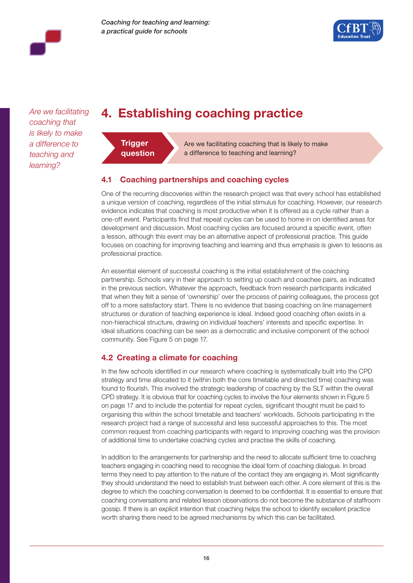

*Are we facilitating coaching that is likely to make a difference to teaching and learning?*

# **4. Establishing coaching practice**



Are we facilitating coaching that is likely to make a difference to teaching and learning?

# **4.1 Coaching partnerships and coaching cycles**

One of the recurring discoveries within the research project was that every school has established a unique version of coaching, regardless of the initial stimulus for coaching. However, our research evidence indicates that coaching is most productive when it is offered as a cycle rather than a one-off event. Participants find that repeat cycles can be used to home in on identified areas for development and discussion. Most coaching cycles are focused around a specific event, often a lesson, although this event may be an alternative aspect of professional practice. This guide focuses on coaching for improving teaching and learning and thus emphasis is given to lessons as professional practice.

An essential element of successful coaching is the initial establishment of the coaching partnership. Schools vary in their approach to setting up coach and coachee pairs, as indicated in the previous section. Whatever the approach, feedback from research participants indicated that when they felt a sense of 'ownership' over the process of pairing colleagues, the process got off to a more satisfactory start. There is no evidence that basing coaching on line management structures or duration of teaching experience is ideal. Indeed good coaching often exists in a non-hierachical structure, drawing on individual teachers' interests and specific expertise. In ideal situations coaching can be seen as a democratic and inclusive component of the school community. See Figure 5 on page 17.

# **4.2 Creating a climate for coaching**

In the few schools identified in our research where coaching is systematically built into the CPD strategy and time allocated to it (within both the core timetable and directed time) coaching was found to flourish. This involved the strategic leadership of coaching by the SLT within the overall CPD strategy. It is obvious that for coaching cycles to involve the four elements shown in Figure 5 on page 17 and to include the potential for repeat cycles, significant thought must be paid to organising this within the school timetable and teachers' workloads. Schools participating in the research project had a range of successful and less successful approaches to this. The most common request from coaching participants with regard to improving coaching was the provision of additional time to undertake coaching cycles and practise the skills of coaching.

In addition to the arrangements for partnership and the need to allocate sufficient time to coaching teachers engaging in coaching need to recognise the ideal form of coaching dialogue. In broad terms they need to pay attention to the nature of the contact they are engaging in. Most significantly they should understand the need to establish trust between each other. A core element of this is the degree to which the coaching conversation is deemed to be confidential. It is essential to ensure that coaching conversations and related lesson observations do not become the substance of staffroom gossip. If there is an explicit intention that coaching helps the school to identify excellent practice worth sharing there need to be agreed mechanisms by which this can be facilitated.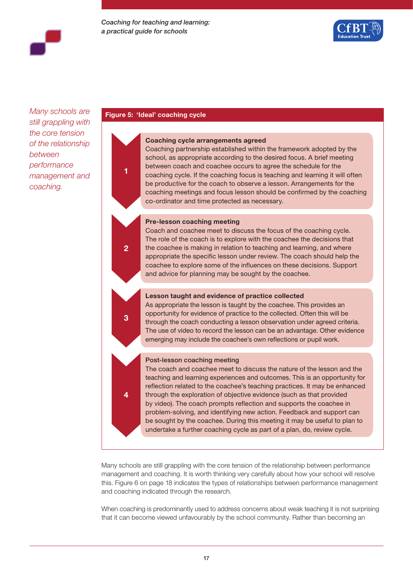

*Many schools are still grappling with the core tension of the relationship between performance management and coaching.*

#### **Figure 5: 'Ideal' coaching cycle**

**1**

**2**

**3**

**4**



Coaching partnership established within the framework adopted by the school, as appropriate according to the desired focus. A brief meeting between coach and coachee occurs to agree the schedule for the coaching cycle. If the coaching focus is teaching and learning it will often be productive for the coach to observe a lesson. Arrangements for the coaching meetings and focus lesson should be confirmed by the coaching co-ordinator and time protected as necessary.

#### **Pre-lesson coaching meeting**

Coach and coachee meet to discuss the focus of the coaching cycle. The role of the coach is to explore with the coachee the decisions that the coachee is making in relation to teaching and learning, and where appropriate the specific lesson under review. The coach should help the coachee to explore some of the influences on these decisions. Support and advice for planning may be sought by the coachee.

#### **Lesson taught and evidence of practice collected**

As appropriate the lesson is taught by the coachee. This provides an opportunity for evidence of practice to the collected. Often this will be through the coach conducting a lesson observation under agreed criteria. The use of video to record the lesson can be an advantage. Other evidence emerging may include the coachee's own reflections or pupil work.

#### Post-lesson coaching meeting

The coach and coachee meet to discuss the nature of the lesson and the teaching and learning experiences and outcomes. This is an opportunity for reflection related to the coachee's teaching practices. It may be enhanced through the exploration of objective evidence (such as that provided by video). The coach prompts reflection and supports the coachee in problem-solving, and identifying new action. Feedback and support can be sought by the coachee. During this meeting it may be useful to plan to undertake a further coaching cycle as part of a plan, do, review cycle.

Many schools are still grappling with the core tension of the relationship between performance management and coaching. It is worth thinking very carefully about how your school will resolve this. Figure 6 on page 18 indicates the types of relationships between performance management and coaching indicated through the research.

When coaching is predominantly used to address concerns about weak teaching it is not surprising that it can become viewed unfavourably by the school community. Rather than becoming an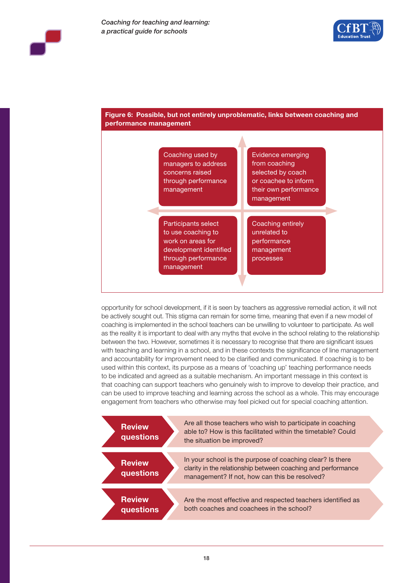



**Figure 6: Possible, but not entirely unproblematic, links between coaching and** 

opportunity for school development, if it is seen by teachers as aggressive remedial action, it will not be actively sought out. This stigma can remain for some time, meaning that even if a new model of coaching is implemented in the school teachers can be unwilling to volunteer to participate. As well as the reality it is important to deal with any myths that evolve in the school relating to the relationship between the two. However, sometimes it is necessary to recognise that there are significant issues with teaching and learning in a school, and in these contexts the significance of line management and accountability for improvement need to be clarified and communicated. If coaching is to be used within this context, its purpose as a means of 'coaching up' teaching performance needs to be indicated and agreed as a suitable mechanism. An important message in this context is that coaching can support teachers who genuinely wish to improve to develop their practice, and can be used to improve teaching and learning across the school as a whole. This may encourage engagement from teachers who otherwise may feel picked out for special coaching attention.

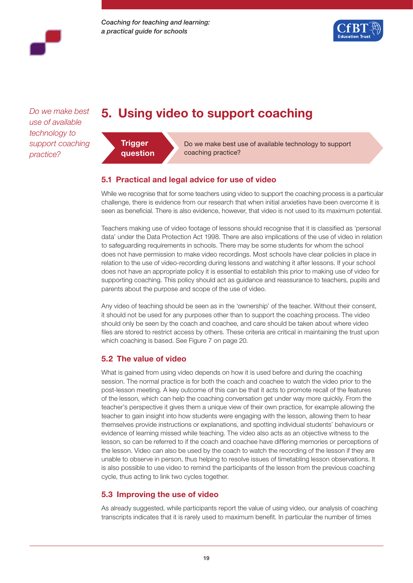



*Do we make best use of available technology to support coaching practice?*

# **5. Using video to support coaching**



Do we make best use of available technology to support coaching practice?

## **5.1 Practical and legal advice for use of video**

While we recognise that for some teachers using video to support the coaching process is a particular challenge, there is evidence from our research that when initial anxieties have been overcome it is seen as beneficial. There is also evidence, however, that video is not used to its maximum potential.

Teachers making use of video footage of lessons should recognise that it is classified as 'personal data' under the Data Protection Act 1998. There are also implications of the use of video in relation to safeguarding requirements in schools. There may be some students for whom the school does not have permission to make video recordings. Most schools have clear policies in place in relation to the use of video-recording during lessons and watching it after lessons. If your school does not have an appropriate policy it is essential to establish this prior to making use of video for supporting coaching. This policy should act as guidance and reassurance to teachers, pupils and parents about the purpose and scope of the use of video.

Any video of teaching should be seen as in the 'ownership' of the teacher. Without their consent, it should not be used for any purposes other than to support the coaching process. The video should only be seen by the coach and coachee, and care should be taken about where video files are stored to restrict access by others. These criteria are critical in maintaining the trust upon which coaching is based. See Figure 7 on page 20.

## **5.2 The value of video**

What is gained from using video depends on how it is used before and during the coaching session. The normal practice is for both the coach and coachee to watch the video prior to the post-lesson meeting. A key outcome of this can be that it acts to promote recall of the features of the lesson, which can help the coaching conversation get under way more quickly. From the teacher's perspective it gives them a unique view of their own practice, for example allowing the teacher to gain insight into how students were engaging with the lesson, allowing them to hear themselves provide instructions or explanations, and spotting individual students' behaviours or evidence of learning missed while teaching. The video also acts as an objective witness to the lesson, so can be referred to if the coach and coachee have differing memories or perceptions of the lesson. Video can also be used by the coach to watch the recording of the lesson if they are unable to observe in person, thus helping to resolve issues of timetabling lesson observations. It is also possible to use video to remind the participants of the lesson from the previous coaching cycle, thus acting to link two cycles together.

### **5.3 Improving the use of video**

As already suggested, while participants report the value of using video, our analysis of coaching transcripts indicates that it is rarely used to maximum benefit. In particular the number of times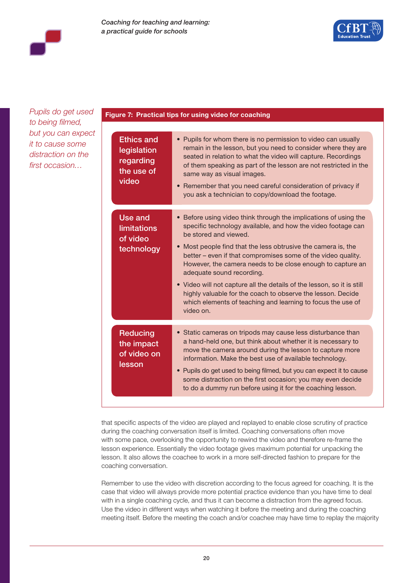

*Pupils do get used to being filmed, but you can expect it to cause some distraction on the first occasion…*

#### **Figure 7: Practical tips for using video for coaching**

| <b>Ethics and</b><br>legislation<br>regarding<br>the use of<br>video | • Pupils for whom there is no permission to video can usually<br>remain in the lesson, but you need to consider where they are<br>seated in relation to what the video will capture. Recordings<br>of them speaking as part of the lesson are not restricted in the<br>same way as visual images.<br>Remember that you need careful consideration of privacy if<br>you ask a technician to copy/download the footage.                                                                                                                                                                                      |
|----------------------------------------------------------------------|------------------------------------------------------------------------------------------------------------------------------------------------------------------------------------------------------------------------------------------------------------------------------------------------------------------------------------------------------------------------------------------------------------------------------------------------------------------------------------------------------------------------------------------------------------------------------------------------------------|
| Use and<br><b>limitations</b><br>of video<br>technology              | • Before using video think through the implications of using the<br>specific technology available, and how the video footage can<br>be stored and viewed.<br>• Most people find that the less obtrusive the camera is, the<br>better – even if that compromises some of the video quality.<br>However, the camera needs to be close enough to capture an<br>adequate sound recording.<br>• Video will not capture all the details of the lesson, so it is still<br>highly valuable for the coach to observe the lesson. Decide<br>which elements of teaching and learning to focus the use of<br>video on. |
| <b>Reducing</b><br>the impact<br>of video on<br>lesson               | • Static cameras on tripods may cause less disturbance than<br>a hand-held one, but think about whether it is necessary to<br>move the camera around during the lesson to capture more<br>information. Make the best use of available technology.<br>• Pupils do get used to being filmed, but you can expect it to cause<br>some distraction on the first occasion; you may even decide<br>to do a dummy run before using it for the coaching lesson.                                                                                                                                                     |

that specific aspects of the video are played and replayed to enable close scrutiny of practice during the coaching conversation itself is limited. Coaching conversations often move with some pace, overlooking the opportunity to rewind the video and therefore re-frame the lesson experience. Essentially the video footage gives maximum potential for unpacking the lesson. It also allows the coachee to work in a more self-directed fashion to prepare for the coaching conversation.

Remember to use the video with discretion according to the focus agreed for coaching. It is the case that video will always provide more potential practice evidence than you have time to deal with in a single coaching cycle, and thus it can become a distraction from the agreed focus. Use the video in different ways when watching it before the meeting and during the coaching meeting itself. Before the meeting the coach and/or coachee may have time to replay the majority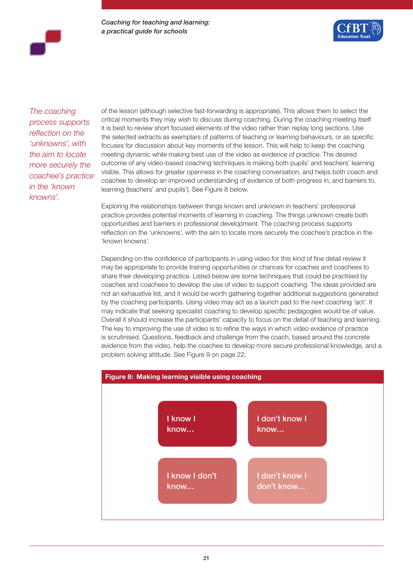

*The coaching process supports reflection on the 'unknowns', with the aim to locate more securely the coachee's practice in the 'known knowns'.* 

of the lesson (although selective fast-forwarding is appropriate). This allows them to select the critical moments they may wish to discuss during coaching. During the coaching meeting itself it is best to review short focused elements of the video rather than replay long sections. Use the selected extracts as exemplars of patterns of teaching or learning behaviours, or as specific focuses for discussion about key moments of the lesson. This will help to keep the coaching meeting dynamic while making best use of the video as evidence of practice. The desired outcome of any video-based coaching techniques is making both pupils' and teachers' learning visible. This allows for greater openness in the coaching conversation, and helps both coach and coachee to develop an improved understanding of evidence of both progress in, and barriers to, learning (teachers' and pupils'). See Figure 8 below.

Exploring the relationships between things known and unknown in teachers' professional practice provides potential moments of learning in coaching. The things unknown create both opportunities and barriers in professional development. The coaching process supports reflection on the 'unknowns', with the aim to locate more securely the coachee's practice in the 'known knowns'.

Depending on the confidence of participants in using video for this kind of fine detail review it may be appropriate to provide training opportunities or chances for coaches and coachees to share their developing practice. Listed below are some techniques that could be practised by coaches and coachees to develop the use of video to support coaching. The ideas provided are not an exhaustive list, and it would be worth gathering together additional suggestions generated by the coaching participants. Using video may act as a launch pad to the next coaching 'act'. It may indicate that seeking specialist coaching to develop specific pedagogies would be of value. Overall it should increase the participants' capacity to focus on the detail of teaching and learning. The key to improving the use of video is to refine the ways in which video evidence of practice is scrutinised. Questions, feedback and challenge from the coach, based around the concrete evidence from the video, help the coachee to develop more secure professional knowledge, and a problem solving attitude. See Figure 9 on page 22.

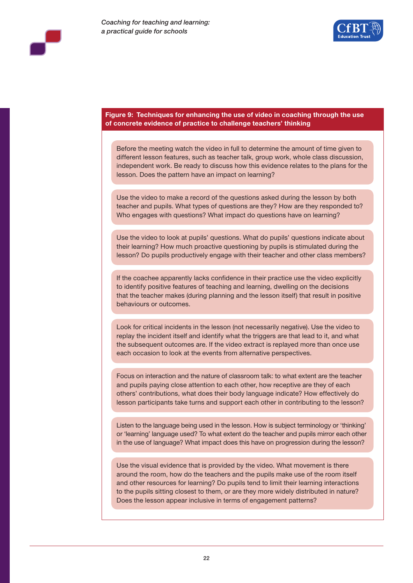

#### **Figure 9: Techniques for enhancing the use of video in coaching through the use of concrete evidence of practice to challenge teachers' thinking**

Before the meeting watch the video in full to determine the amount of time given to different lesson features, such as teacher talk, group work, whole class discussion, independent work. Be ready to discuss how this evidence relates to the plans for the lesson. Does the pattern have an impact on learning?

Use the video to make a record of the questions asked during the lesson by both teacher and pupils. What types of questions are they? How are they responded to? Who engages with questions? What impact do questions have on learning?

Use the video to look at pupils' questions. What do pupils' questions indicate about their learning? How much proactive questioning by pupils is stimulated during the lesson? Do pupils productively engage with their teacher and other class members?

If the coachee apparently lacks confidence in their practice use the video explicitly to identify positive features of teaching and learning, dwelling on the decisions that the teacher makes (during planning and the lesson itself) that result in positive behaviours or outcomes.

Look for critical incidents in the lesson (not necessarily negative). Use the video to replay the incident itself and identify what the triggers are that lead to it, and what the subsequent outcomes are. If the video extract is replayed more than once use each occasion to look at the events from alternative perspectives.

Focus on interaction and the nature of classroom talk: to what extent are the teacher and pupils paying close attention to each other, how receptive are they of each others' contributions, what does their body language indicate? How effectively do lesson participants take turns and support each other in contributing to the lesson?

Listen to the language being used in the lesson. How is subject terminology or 'thinking' or 'learning' language used? To what extent do the teacher and pupils mirror each other in the use of language? What impact does this have on progression during the lesson?

Use the visual evidence that is provided by the video. What movement is there around the room, how do the teachers and the pupils make use of the room itself and other resources for learning? Do pupils tend to limit their learning interactions to the pupils sitting closest to them, or are they more widely distributed in nature? Does the lesson appear inclusive in terms of engagement patterns?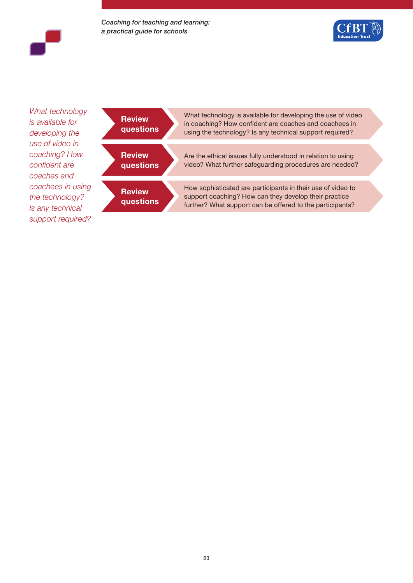*Coaching for teaching and learning: a practical guide for schools*





*What technology is available for developing the use of video in coaching? How confident are coaches and coachees in using the technology? Is any technical support required?*

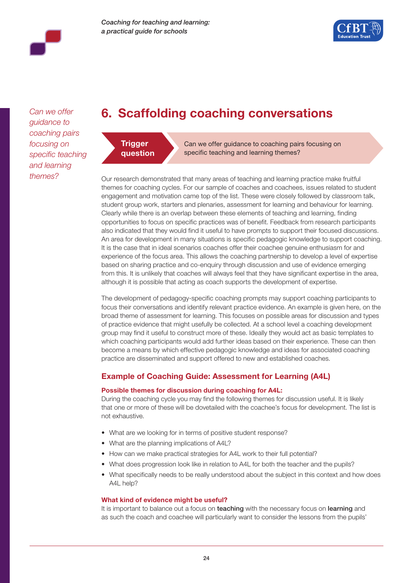

*Can we offer guidance to coaching pairs focusing on specific teaching and learning themes?*

# **6. Scaffolding coaching conversations**



Can we offer guidance to coaching pairs focusing on specific teaching and learning themes?

Our research demonstrated that many areas of teaching and learning practice make fruitful themes for coaching cycles. For our sample of coaches and coachees, issues related to student engagement and motivation came top of the list. These were closely followed by classroom talk, student group work, starters and plenaries, assessment for learning and behaviour for learning. Clearly while there is an overlap between these elements of teaching and learning, finding opportunities to focus on specific practices was of benefit. Feedback from research participants also indicated that they would find it useful to have prompts to support their focused discussions. An area for development in many situations is specific pedagogic knowledge to support coaching. It is the case that in ideal scenarios coaches offer their coachee genuine enthusiasm for and experience of the focus area. This allows the coaching partnership to develop a level of expertise based on sharing practice and co-enquiry through discussion and use of evidence emerging from this. It is unlikely that coaches will always feel that they have significant expertise in the area, although it is possible that acting as coach supports the development of expertise.

The development of pedagogy-specific coaching prompts may support coaching participants to focus their conversations and identify relevant practice evidence. An example is given here, on the broad theme of assessment for learning. This focuses on possible areas for discussion and types of practice evidence that might usefully be collected. At a school level a coaching development group may find it useful to construct more of these. Ideally they would act as basic templates to which coaching participants would add further ideas based on their experience. These can then become a means by which effective pedagogic knowledge and ideas for associated coaching practice are disseminated and support offered to new and established coaches.

# **Example of Coaching Guide: Assessment for Learning (A4L)**

#### **Possible themes for discussion during coaching for A4L:**

During the coaching cycle you may find the following themes for discussion useful. It is likely that one or more of these will be dovetailed with the coachee's focus for development. The list is not exhaustive.

- What are we looking for in terms of positive student response?
- What are the planning implications of A4L?
- How can we make practical strategies for A4L work to their full potential?
- What does progression look like in relation to A4L for both the teacher and the pupils?
- What specifically needs to be really understood about the subject in this context and how does A4L help?

#### **What kind of evidence might be useful?**

It is important to balance out a focus on teaching with the necessary focus on learning and as such the coach and coachee will particularly want to consider the lessons from the pupils'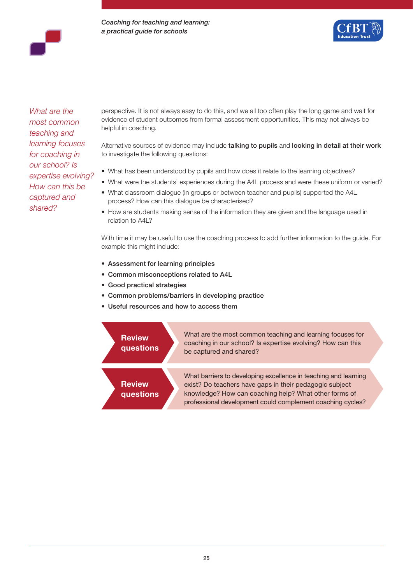*Coaching for teaching and learning: a practical guide for schools*



*What are the most common teaching and learning focuses for coaching in our school? Is expertise evolving? How can this be captured and shared?*

perspective. It is not always easy to do this, and we all too often play the long game and wait for evidence of student outcomes from formal assessment opportunities. This may not always be helpful in coaching.

Alternative sources of evidence may include talking to pupils and looking in detail at their work to investigate the following questions:

- What has been understood by pupils and how does it relate to the learning objectives?
- What were the students' experiences during the A4L process and were these uniform or varied?
- What classroom dialogue (in groups or between teacher and pupils) supported the A4L process? How can this dialogue be characterised?
- How are students making sense of the information they are given and the language used in relation to A4L?

With time it may be useful to use the coaching process to add further information to the guide. For example this might include:

- Assessment for learning principles
- Common misconceptions related to A4L
- Good practical strategies
- Common problems/barriers in developing practice
- Useful resources and how to access them

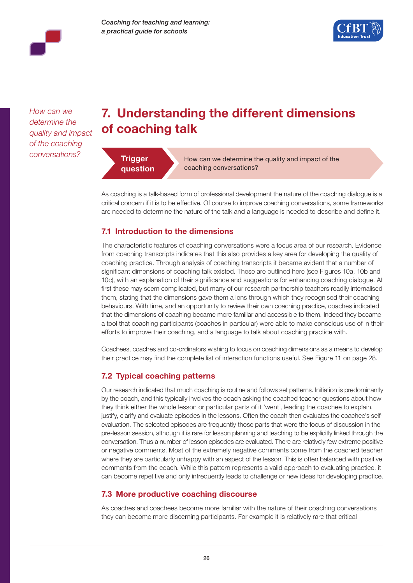



*How can we determine the quality and impact of the coaching conversations?*

# **7. Understanding the different dimensions of coaching talk**



How can we determine the quality and impact of the coaching conversations?

As coaching is a talk-based form of professional development the nature of the coaching dialogue is a critical concern if it is to be effective. Of course to improve coaching conversations, some frameworks are needed to determine the nature of the talk and a language is needed to describe and define it.

## **7.1 Introduction to the dimensions**

The characteristic features of coaching conversations were a focus area of our research. Evidence from coaching transcripts indicates that this also provides a key area for developing the quality of coaching practice. Through analysis of coaching transcripts it became evident that a number of significant dimensions of coaching talk existed. These are outlined here (see Figures 10a, 10b and 10c), with an explanation of their significance and suggestions for enhancing coaching dialogue. At first these may seem complicated, but many of our research partnership teachers readily internalised them, stating that the dimensions gave them a lens through which they recognised their coaching behaviours. With time, and an opportunity to review their own coaching practice, coaches indicated that the dimensions of coaching became more familiar and accessible to them. Indeed they became a tool that coaching participants (coaches in particular) were able to make conscious use of in their efforts to improve their coaching, and a language to talk about coaching practice with.

Coachees, coaches and co-ordinators wishing to focus on coaching dimensions as a means to develop their practice may find the complete list of interaction functions useful. See Figure 11 on page 28.

## **7.2 Typical coaching patterns**

Our research indicated that much coaching is routine and follows set patterns. Initiation is predominantly by the coach, and this typically involves the coach asking the coached teacher questions about how they think either the whole lesson or particular parts of it 'went', leading the coachee to explain, justify, clarify and evaluate episodes in the lessons. Often the coach then evaluates the coachee's selfevaluation. The selected episodes are frequently those parts that were the focus of discussion in the pre-lesson session, although it is rare for lesson planning and teaching to be explicitly linked through the conversation. Thus a number of lesson episodes are evaluated. There are relatively few extreme positive or negative comments. Most of the extremely negative comments come from the coached teacher where they are particularly unhappy with an aspect of the lesson. This is often balanced with positive comments from the coach. While this pattern represents a valid approach to evaluating practice, it can become repetitive and only infrequently leads to challenge or new ideas for developing practice.

### **7.3 More productive coaching discourse**

As coaches and coachees become more familiar with the nature of their coaching conversations they can become more discerning participants. For example it is relatively rare that critical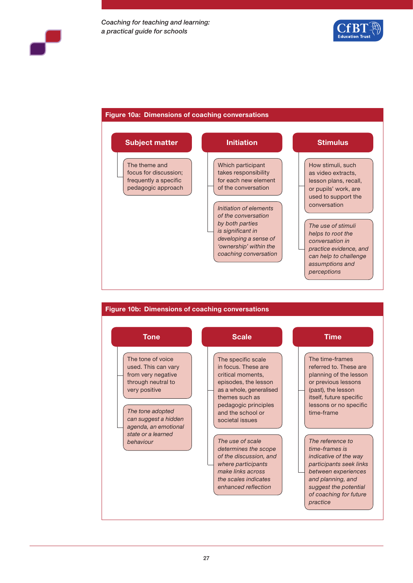

#### **Figure 10a: Dimensions of coaching conversations**





#### 27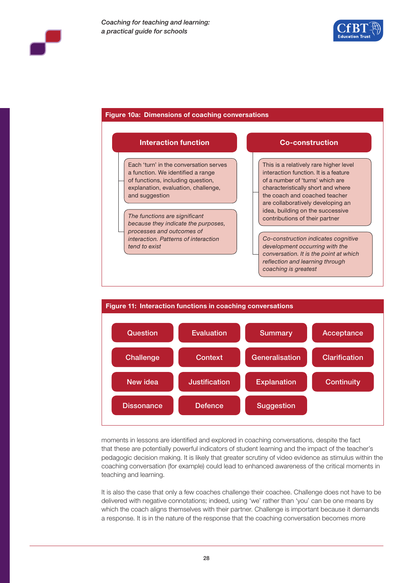

#### **Figure 10a: Dimensions of coaching conversations**





moments in lessons are identified and explored in coaching conversations, despite the fact that these are potentially powerful indicators of student learning and the impact of the teacher's pedagogic decision making. It is likely that greater scrutiny of video evidence as stimulus within the coaching conversation (for example) could lead to enhanced awareness of the critical moments in teaching and learning.

It is also the case that only a few coaches challenge their coachee. Challenge does not have to be delivered with negative connotations; indeed, using 'we' rather than 'you' can be one means by which the coach aligns themselves with their partner. Challenge is important because it demands a response. It is in the nature of the response that the coaching conversation becomes more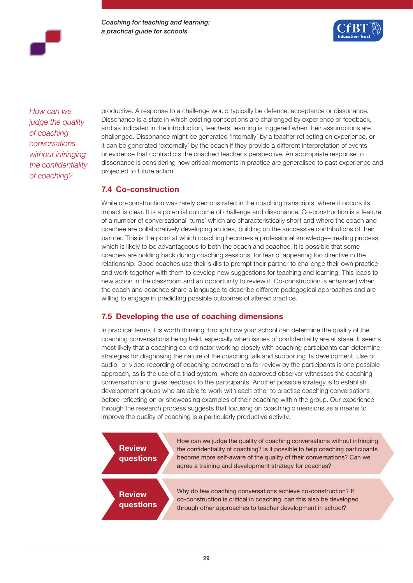*Coaching for teaching and learning: a practical guide for schools*



*How can we judge the quality of coaching conversations without infringing the confidentiality of coaching?* 

productive. A response to a challenge would typically be defence, acceptance or dissonance. Dissonance is a state in which existing conceptions are challenged by experience or feedback, and as indicated in the introduction, teachers' learning is triggered when their assumptions are challenged. Dissonance might be generated 'internally' by a teacher reflecting on experience, or it can be generated 'externally' by the coach if they provide a different interpretation of events, or evidence that contradicts the coached teacher's perspective. An appropriate response to dissonance is considering how critical moments in practice are generalised to past experience and projected to future action.

### **7.4 Co-construction**

While co-construction was rarely demonstrated in the coaching transcripts, where it occurs its impact is clear. It is a potential outcome of challenge and dissonance. Co-construction is a feature of a number of conversational 'turns' which are characteristically short and where the coach and coachee are collaboratively developing an idea, building on the successive contributions of their partner. This is the point at which coaching becomes a professional knowledge-creating process, which is likely to be advantageous to both the coach and coachee. It is possible that some coaches are holding back during coaching sessions, for fear of appearing too directive in the relationship. Good coaches use their skills to prompt their partner to challenge their own practice and work together with them to develop new suggestions for teaching and learning. This leads to new action in the classroom and an opportunity to review it. Co-construction is enhanced when the coach and coachee share a language to describe different pedagogical approaches and are willing to engage in predicting possible outcomes of altered practice.

## **7.5 Developing the use of coaching dimensions**

In practical terms it is worth thinking through how your school can determine the quality of the coaching conversations being held, especially when issues of confidentiality are at stake. It seems most likely that a coaching co-ordinator working closely with coaching participants can determine strategies for diagnosing the nature of the coaching talk and supporting its development. Use of audio- or video-recording of coaching conversations for review by the participants is one possible approach, as is the use of a triad system, where an approved observer witnesses the coaching conversation and gives feedback to the participants. Another possible strategy is to establish development groups who are able to work with each other to practise coaching conversations before reflecting on or showcasing examples of their coaching within the group. Our experience through the research process suggests that focusing on coaching dimensions as a means to improve the quality of coaching is a particularly productive activity.

**Review questions** Why do few coaching conversations achieve co-construction? If co-construction is critical in coaching, can this also be developed through other approaches to teacher development in school? **Review questions** How can we judge the quality of coaching conversations without infringing the confidentiality of coaching? Is it possible to help coaching participants become more self-aware of the quality of their conversations? Can we agree a training and development strategy for coaches?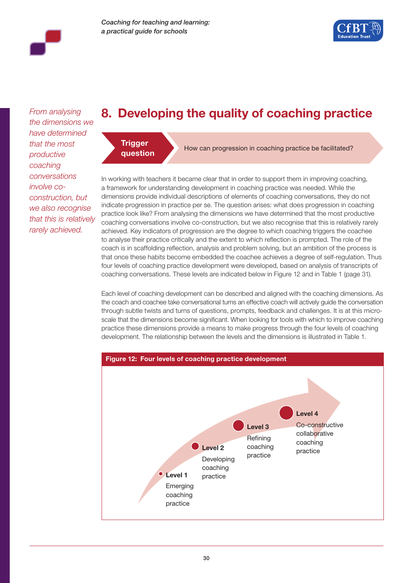

*From analysing the dimensions we have determined that the most productive coaching conversations involve coconstruction, but we also recognise that this is relatively rarely achieved.*

# **8. Developing the quality of coaching practice**



**question** How can progression in coaching practice be facilitated?

In working with teachers it became clear that in order to support them in improving coaching, a framework for understanding development in coaching practice was needed. While the dimensions provide individual descriptions of elements of coaching conversations, they do not indicate progression in practice per se. The question arises: what does progression in coaching practice look like? From analysing the dimensions we have determined that the most productive coaching conversations involve co-construction, but we also recognise that this is relatively rarely achieved. Key indicators of progression are the degree to which coaching triggers the coachee to analyse their practice critically and the extent to which reflection is prompted. The role of the coach is in scaffolding reflection, analysis and problem solving, but an ambition of the process is that once these habits become embedded the coachee achieves a degree of self-regulation. Thus four levels of coaching practice development were developed, based on analysis of transcripts of coaching conversations. These levels are indicated below in Figure 12 and in Table 1 (page 31).

Each level of coaching development can be described and aligned with the coaching dimensions. As the coach and coachee take conversational turns an effective coach will actively guide the conversation through subtle twists and turns of questions, prompts, feedback and challenges. It is at this microscale that the dimensions become significant. When looking for tools with which to improve coaching practice these dimensions provide a means to make progress through the four levels of coaching development. The relationship between the levels and the dimensions is illustrated in Table 1.

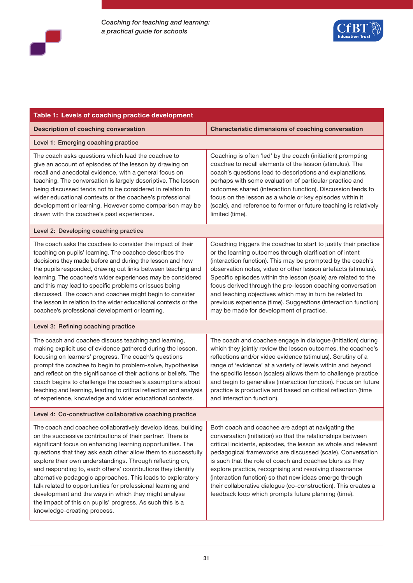



| Table 1: Levels of coaching practice development                                                                                                                                                                                                                                                                                                                                                                                                                                                                                                                                                                                                                        |                                                                                                                                                                                                                                                                                                                                                                                                                                                                                                                                                                        |  |  |
|-------------------------------------------------------------------------------------------------------------------------------------------------------------------------------------------------------------------------------------------------------------------------------------------------------------------------------------------------------------------------------------------------------------------------------------------------------------------------------------------------------------------------------------------------------------------------------------------------------------------------------------------------------------------------|------------------------------------------------------------------------------------------------------------------------------------------------------------------------------------------------------------------------------------------------------------------------------------------------------------------------------------------------------------------------------------------------------------------------------------------------------------------------------------------------------------------------------------------------------------------------|--|--|
| <b>Description of coaching conversation</b>                                                                                                                                                                                                                                                                                                                                                                                                                                                                                                                                                                                                                             | <b>Characteristic dimensions of coaching conversation</b>                                                                                                                                                                                                                                                                                                                                                                                                                                                                                                              |  |  |
| Level 1: Emerging coaching practice                                                                                                                                                                                                                                                                                                                                                                                                                                                                                                                                                                                                                                     |                                                                                                                                                                                                                                                                                                                                                                                                                                                                                                                                                                        |  |  |
| The coach asks questions which lead the coachee to<br>give an account of episodes of the lesson by drawing on<br>recall and anecdotal evidence, with a general focus on<br>teaching. The conversation is largely descriptive. The lesson<br>being discussed tends not to be considered in relation to<br>wider educational contexts or the coachee's professional<br>development or learning. However some comparison may be<br>drawn with the coachee's past experiences.                                                                                                                                                                                              | Coaching is often 'led' by the coach (initiation) prompting<br>coachee to recall elements of the lesson (stimulus). The<br>coach's questions lead to descriptions and explanations,<br>perhaps with some evaluation of particular practice and<br>outcomes shared (interaction function). Discussion tends to<br>focus on the lesson as a whole or key episodes within it<br>(scale), and reference to former or future teaching is relatively<br>limited (time).                                                                                                      |  |  |
| Level 2: Developing coaching practice                                                                                                                                                                                                                                                                                                                                                                                                                                                                                                                                                                                                                                   |                                                                                                                                                                                                                                                                                                                                                                                                                                                                                                                                                                        |  |  |
| The coach asks the coachee to consider the impact of their<br>teaching on pupils' learning. The coachee describes the<br>decisions they made before and during the lesson and how<br>the pupils responded, drawing out links between teaching and<br>learning. The coachee's wider experiences may be considered<br>and this may lead to specific problems or issues being<br>discussed. The coach and coachee might begin to consider<br>the lesson in relation to the wider educational contexts or the<br>coachee's professional development or learning.                                                                                                            | Coaching triggers the coachee to start to justify their practice<br>or the learning outcomes through clarification of intent<br>(interaction function). This may be prompted by the coach's<br>observation notes, video or other lesson artefacts (stimulus).<br>Specific episodes within the lesson (scale) are related to the<br>focus derived through the pre-lesson coaching conversation<br>and teaching objectives which may in turn be related to<br>previous experience (time). Suggestions (interaction function)<br>may be made for development of practice. |  |  |
| Level 3: Refining coaching practice                                                                                                                                                                                                                                                                                                                                                                                                                                                                                                                                                                                                                                     |                                                                                                                                                                                                                                                                                                                                                                                                                                                                                                                                                                        |  |  |
| The coach and coachee discuss teaching and learning,<br>making explicit use of evidence gathered during the lesson,<br>focusing on learners' progress. The coach's questions<br>prompt the coachee to begin to problem-solve, hypothesise<br>and reflect on the significance of their actions or beliefs. The<br>coach begins to challenge the coachee's assumptions about<br>teaching and learning, leading to critical reflection and analysis<br>of experience, knowledge and wider educational contexts.                                                                                                                                                            | The coach and coachee engage in dialogue (initiation) during<br>which they jointly review the lesson outcomes, the coachee's<br>reflections and/or video evidence (stimulus). Scrutiny of a<br>range of 'evidence' at a variety of levels within and beyond<br>the specific lesson (scales) allows them to challenge practice<br>and begin to generalise (interaction function). Focus on future<br>practice is productive and based on critical reflection (time<br>and interaction function).                                                                        |  |  |
| Level 4: Co-constructive collaborative coaching practice                                                                                                                                                                                                                                                                                                                                                                                                                                                                                                                                                                                                                |                                                                                                                                                                                                                                                                                                                                                                                                                                                                                                                                                                        |  |  |
| The coach and coachee collaboratively develop ideas, building<br>on the successive contributions of their partner. There is<br>significant focus on enhancing learning opportunities. The<br>questions that they ask each other allow them to successfully<br>explore their own understandings. Through reflecting on,<br>and responding to, each others' contributions they identify<br>alternative pedagogic approaches. This leads to exploratory<br>talk related to opportunities for professional learning and<br>development and the ways in which they might analyse<br>the impact of this on pupils' progress. As such this is a<br>knowledge-creating process. | Both coach and coachee are adept at navigating the<br>conversation (initiation) so that the relationships between<br>critical incidents, episodes, the lesson as whole and relevant<br>pedagogical frameworks are discussed (scale). Conversation<br>is such that the role of coach and coachee blurs as they<br>explore practice, recognising and resolving dissonance<br>(interaction function) so that new ideas emerge through<br>their collaborative dialogue (co-construction). This creates a<br>feedback loop which prompts future planning (time).            |  |  |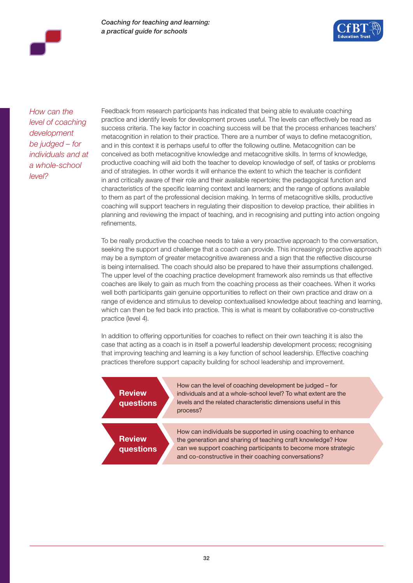

*How can the level of coaching development be judged – for individuals and at a whole-school level?* 

Feedback from research participants has indicated that being able to evaluate coaching practice and identify levels for development proves useful. The levels can effectively be read as success criteria. The key factor in coaching success will be that the process enhances teachers' metacognition in relation to their practice. There are a number of ways to define metacognition, and in this context it is perhaps useful to offer the following outline. Metacognition can be conceived as both metacognitive knowledge and metacognitive skills. In terms of knowledge, productive coaching will aid both the teacher to develop knowledge of self, of tasks or problems and of strategies. In other words it will enhance the extent to which the teacher is confident in and critically aware of their role and their available repertoire; the pedagogical function and characteristics of the specific learning context and learners; and the range of options available to them as part of the professional decision making. In terms of metacognitive skills, productive coaching will support teachers in regulating their disposition to develop practice, their abilities in planning and reviewing the impact of teaching, and in recognising and putting into action ongoing refinements.

To be really productive the coachee needs to take a very proactive approach to the conversation, seeking the support and challenge that a coach can provide. This increasingly proactive approach may be a symptom of greater metacognitive awareness and a sign that the reflective discourse is being internalised. The coach should also be prepared to have their assumptions challenged. The upper level of the coaching practice development framework also reminds us that effective coaches are likely to gain as much from the coaching process as their coachees. When it works well both participants gain genuine opportunities to reflect on their own practice and draw on a range of evidence and stimulus to develop contextualised knowledge about teaching and learning, which can then be fed back into practice. This is what is meant by collaborative co-constructive practice (level 4).

In addition to offering opportunities for coaches to reflect on their own teaching it is also the case that acting as a coach is in itself a powerful leadership development process; recognising that improving teaching and learning is a key function of school leadership. Effective coaching practices therefore support capacity building for school leadership and improvement.

| <b>Review</b><br>questions | How can the level of coaching development be judged – for<br>individuals and at a whole-school level? To what extent are the<br>levels and the related characteristic dimensions useful in this<br>process?                                           |
|----------------------------|-------------------------------------------------------------------------------------------------------------------------------------------------------------------------------------------------------------------------------------------------------|
| <b>Review</b><br>questions | How can individuals be supported in using coaching to enhance<br>the generation and sharing of teaching craft knowledge? How<br>can we support coaching participants to become more strategic<br>and co-constructive in their coaching conversations? |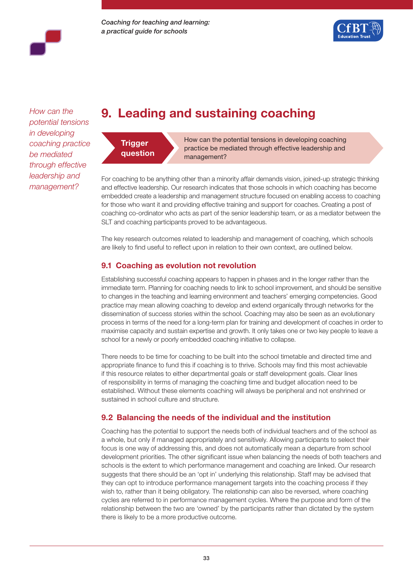

*How can the potential tensions in developing coaching practice be mediated through effective leadership and management?*

# **9. Leading and sustaining coaching**



How can the potential tensions in developing coaching practice be mediated through effective leadership and management?

For coaching to be anything other than a minority affair demands vision, joined-up strategic thinking and effective leadership. Our research indicates that those schools in which coaching has become embedded create a leadership and management structure focused on enabling access to coaching for those who want it and providing effective training and support for coaches. Creating a post of coaching co-ordinator who acts as part of the senior leadership team, or as a mediator between the SLT and coaching participants proved to be advantageous.

The key research outcomes related to leadership and management of coaching, which schools are likely to find useful to reflect upon in relation to their own context, are outlined below.

# **9.1 Coaching as evolution not revolution**

Establishing successful coaching appears to happen in phases and in the longer rather than the immediate term. Planning for coaching needs to link to school improvement, and should be sensitive to changes in the teaching and learning environment and teachers' emerging competencies. Good practice may mean allowing coaching to develop and extend organically through networks for the dissemination of success stories within the school. Coaching may also be seen as an evolutionary process in terms of the need for a long-term plan for training and development of coaches in order to maximise capacity and sustain expertise and growth. It only takes one or two key people to leave a school for a newly or poorly embedded coaching initiative to collapse.

There needs to be time for coaching to be built into the school timetable and directed time and appropriate finance to fund this if coaching is to thrive. Schools may find this most achievable if this resource relates to either departmental goals or staff development goals. Clear lines of responsibility in terms of managing the coaching time and budget allocation need to be established. Without these elements coaching will always be peripheral and not enshrined or sustained in school culture and structure.

## **9.2 Balancing the needs of the individual and the institution**

Coaching has the potential to support the needs both of individual teachers and of the school as a whole, but only if managed appropriately and sensitively. Allowing participants to select their focus is one way of addressing this, and does not automatically mean a departure from school development priorities. The other significant issue when balancing the needs of both teachers and schools is the extent to which performance management and coaching are linked. Our research suggests that there should be an 'opt in' underlying this relationship. Staff may be advised that they can opt to introduce performance management targets into the coaching process if they wish to, rather than it being obligatory. The relationship can also be reversed, where coaching cycles are referred to in performance management cycles. Where the purpose and form of the relationship between the two are 'owned' by the participants rather than dictated by the system there is likely to be a more productive outcome.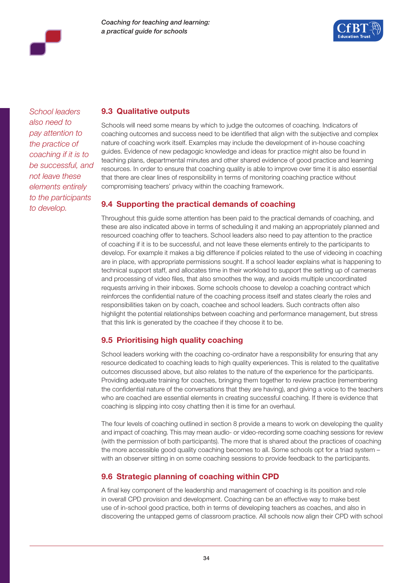



*School leaders also need to pay attention to the practice of coaching if it is to be successful, and not leave these elements entirely to the participants to develop.* 

### **9.3 Qualitative outputs**

Schools will need some means by which to judge the outcomes of coaching. Indicators of coaching outcomes and success need to be identified that align with the subjective and complex nature of coaching work itself. Examples may include the development of in-house coaching guides. Evidence of new pedagogic knowledge and ideas for practice might also be found in teaching plans, departmental minutes and other shared evidence of good practice and learning resources. In order to ensure that coaching quality is able to improve over time it is also essential that there are clear lines of responsibility in terms of monitoring coaching practice without compromising teachers' privacy within the coaching framework.

# **9.4 Supporting the practical demands of coaching**

Throughout this guide some attention has been paid to the practical demands of coaching, and these are also indicated above in terms of scheduling it and making an appropriately planned and resourced coaching offer to teachers. School leaders also need to pay attention to the practice of coaching if it is to be successful, and not leave these elements entirely to the participants to develop. For example it makes a big difference if policies related to the use of videoing in coaching are in place, with appropriate permissions sought. If a school leader explains what is happening to technical support staff, and allocates time in their workload to support the setting up of cameras and processing of video files, that also smoothes the way, and avoids multiple uncoordinated requests arriving in their inboxes. Some schools choose to develop a coaching contract which reinforces the confidential nature of the coaching process itself and states clearly the roles and responsibilities taken on by coach, coachee and school leaders. Such contracts often also highlight the potential relationships between coaching and performance management, but stress that this link is generated by the coachee if they choose it to be.

# **9.5 Prioritising high quality coaching**

School leaders working with the coaching co-ordinator have a responsibility for ensuring that any resource dedicated to coaching leads to high quality experiences. This is related to the qualitative outcomes discussed above, but also relates to the nature of the experience for the participants. Providing adequate training for coaches, bringing them together to review practice (remembering the confidential nature of the conversations that they are having), and giving a voice to the teachers who are coached are essential elements in creating successful coaching. If there is evidence that coaching is slipping into cosy chatting then it is time for an overhaul.

The four levels of coaching outlined in section 8 provide a means to work on developing the quality and impact of coaching. This may mean audio- or video-recording some coaching sessions for review (with the permission of both participants). The more that is shared about the practices of coaching the more accessible good quality coaching becomes to all. Some schools opt for a triad system – with an observer sitting in on some coaching sessions to provide feedback to the participants.

## **9.6 Strategic planning of coaching within CPD**

A final key component of the leadership and management of coaching is its position and role in overall CPD provision and development. Coaching can be an effective way to make best use of in-school good practice, both in terms of developing teachers as coaches, and also in discovering the untapped gems of classroom practice. All schools now align their CPD with school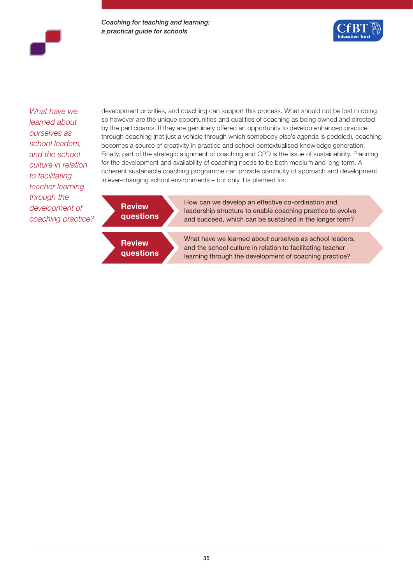*Coaching for teaching and learning: a practical guide for schools*



*What have we learned about ourselves as school leaders, and the school culture in relation to facilitating teacher learning through the development of coaching practice?*

development priorities, and coaching can support this process. What should not be lost in doing so however are the unique opportunities and qualities of coaching as being owned and directed by the participants. If they are genuinely offered an opportunity to develop enhanced practice through coaching (not just a vehicle through which somebody else's agenda is peddled), coaching becomes a source of creativity in practice and school-contextualised knowledge generation. Finally, part of the strategic alignment of coaching and CPD is the issue of sustainability. Planning for the development and availability of coaching needs to be both medium and long term. A coherent sustainable coaching programme can provide continuity of approach and development in ever-changing school environments – but only if is planned for.



How can we develop an effective co-ordination and leadership structure to enable coaching practice to evolve and succeed, which can be sustained in the longer term?



What have we learned about ourselves as school leaders, and the school culture in relation to facilitating teacher learning through the development of coaching practice?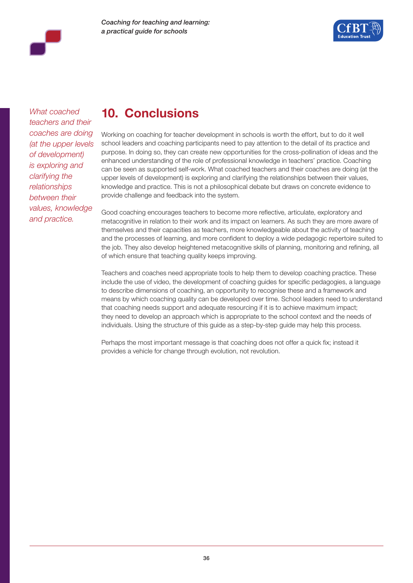



*What coached teachers and their coaches are doing (at the upper levels of development) is exploring and clarifying the relationships between their values, knowledge and practice.*

# **10. Conclusions**

Working on coaching for teacher development in schools is worth the effort, but to do it well school leaders and coaching participants need to pay attention to the detail of its practice and purpose. In doing so, they can create new opportunities for the cross-pollination of ideas and the enhanced understanding of the role of professional knowledge in teachers' practice. Coaching can be seen as supported self-work. What coached teachers and their coaches are doing (at the upper levels of development) is exploring and clarifying the relationships between their values, knowledge and practice. This is not a philosophical debate but draws on concrete evidence to provide challenge and feedback into the system.

Good coaching encourages teachers to become more reflective, articulate, exploratory and metacognitive in relation to their work and its impact on learners. As such they are more aware of themselves and their capacities as teachers, more knowledgeable about the activity of teaching and the processes of learning, and more confident to deploy a wide pedagogic repertoire suited to the job. They also develop heightened metacognitive skills of planning, monitoring and refining, all of which ensure that teaching quality keeps improving.

Teachers and coaches need appropriate tools to help them to develop coaching practice. These include the use of video, the development of coaching guides for specific pedagogies, a language to describe dimensions of coaching, an opportunity to recognise these and a framework and means by which coaching quality can be developed over time. School leaders need to understand that coaching needs support and adequate resourcing if it is to achieve maximum impact; they need to develop an approach which is appropriate to the school context and the needs of individuals. Using the structure of this guide as a step-by-step guide may help this process.

Perhaps the most important message is that coaching does not offer a quick fix; instead it provides a vehicle for change through evolution, not revolution.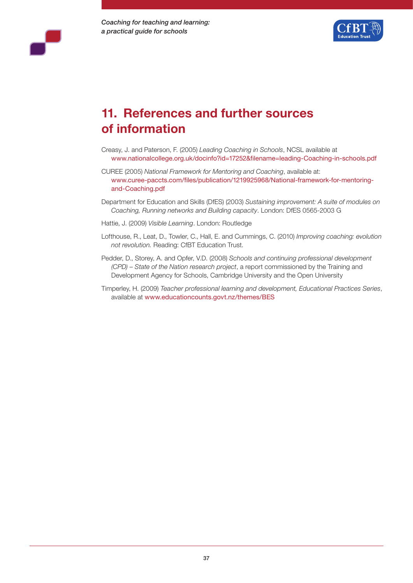



# **11. References and further sources of information**

- Creasy, J. and Paterson, F. (2005) *Leading Coaching in Schools*, NCSL available at www.nationalcollege.org.uk/docinfo?id=17252&filename=leading-Coaching-in-schools.pdf
- CUREE (2005) *National Framework for Mentoring and Coaching*, available at: www.curee-paccts.com/files/publication/1219925968/National-framework-for-mentoringand-Coaching.pdf
- Department for Education and Skills (DfES) (2003) *Sustaining improvement: A suite of modules on Coaching, Running networks and Building capacity*. London: DfES 0565-2003 G
- Hattie, J. (2009) *Visible Learning*. London: Routledge
- Lofthouse, R., Leat, D., Towler, C., Hall, E. and Cummings, C. (2010) *Improving coaching: evolution not revolution.* Reading: CfBT Education Trust.
- Pedder, D., Storey, A. and Opfer, V.D. (2008) *Schools and continuing professional development (CPD) – State of the Nation research project*, a report commissioned by the Training and Development Agency for Schools, Cambridge University and the Open University
- Timperley, H. (2009) *Teacher professional learning and development, Educational Practices Series*, available at www.educationcounts.govt.nz/themes/BES